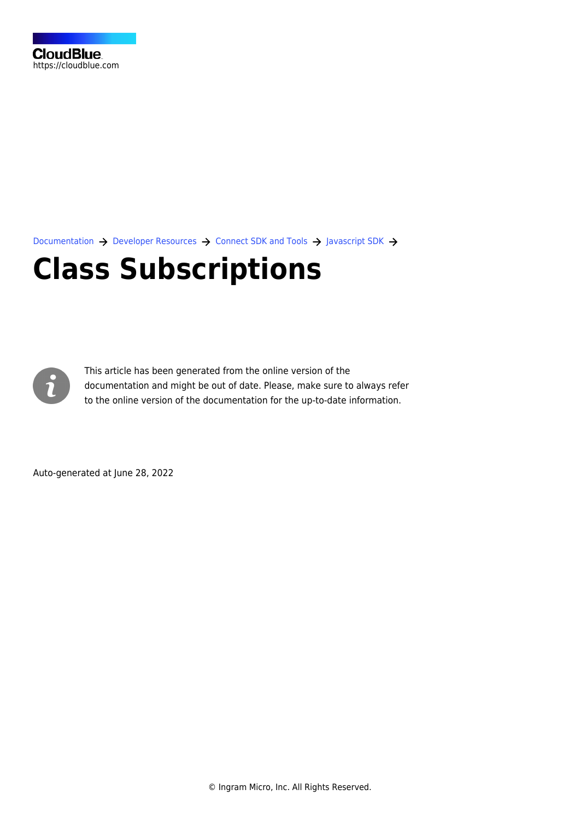[Documentation](https://connect.cloudblue.com/documentation)  $\rightarrow$  [Developer Resources](https://connect.cloudblue.com/community/developers/)  $\rightarrow$  [Connect SDK and Tools](https://connect.cloudblue.com/community/developers/sdk/)  $\rightarrow$  [Javascript SDK](https://connect.cloudblue.com/community/developers/sdk/javascript-sdk/)  $\rightarrow$ 

# **[Class Subscriptions](https://connect.cloudblue.com/community/developers/sdk/javascript-sdk/class-subscriptions/)**



This article has been generated from the online version of the documentation and might be out of date. Please, make sure to always refer to the online version of the documentation for the up-to-date information.

Auto-generated at June 28, 2022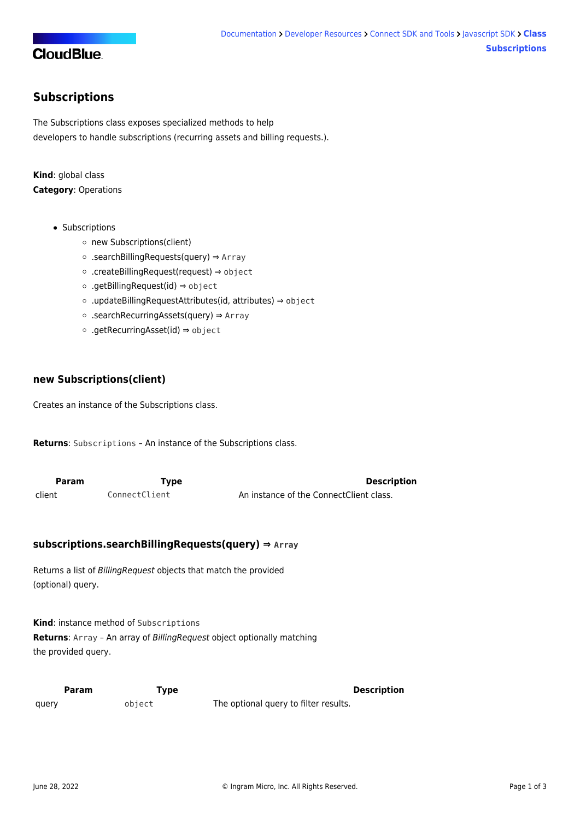## **CloudBlue**

### <span id="page-1-0"></span>**Subscriptions**

The Subscriptions class exposes specialized methods to help developers to handle subscriptions (recurring assets and billing requests.).

**Kind**: global class **Category**: Operations

- [Subscriptions](#page-1-0)
	- o [new Subscriptions\(client\)](#page-1-1)
	- [.searchBillingRequests\(query\)](#page-1-2) ⇒ Array
	- [.createBillingRequest\(request\)](#page-1-3) ⇒ object
	- [.getBillingRequest\(id\)](#page-2-0) ⇒ object
	- [.updateBillingRequestAttributes\(id, attributes\)](#page-2-1) ⇒ object
	- [.searchRecurringAssets\(query\)](#page-2-2) ⇒ Array
	- [.getRecurringAsset\(id\)](#page-3-0) ⇒ object

#### <span id="page-1-1"></span>**new Subscriptions(client)**

Creates an instance of the Subscriptions class.

**Returns**: [Subscriptions](#page-1-0) – An instance of the Subscriptions class.

<span id="page-1-2"></span>

| <b>Param</b> | Type          | <b>Description</b>                      |
|--------------|---------------|-----------------------------------------|
| client       | ConnectClient | An instance of the ConnectClient class. |

#### **subscriptions.searchBillingRequests(query) ⇒ Array**

Returns a list of BillingRequest objects that match the provided (optional) query.

**Kind**: instance method of [Subscriptions](#page-1-0) **Returns**: Array – An array of BillingRequest object optionally matching the provided query.

<span id="page-1-3"></span>

|       | Param  | Type | <b>Description</b>                    |
|-------|--------|------|---------------------------------------|
| query | object |      | The optional query to filter results. |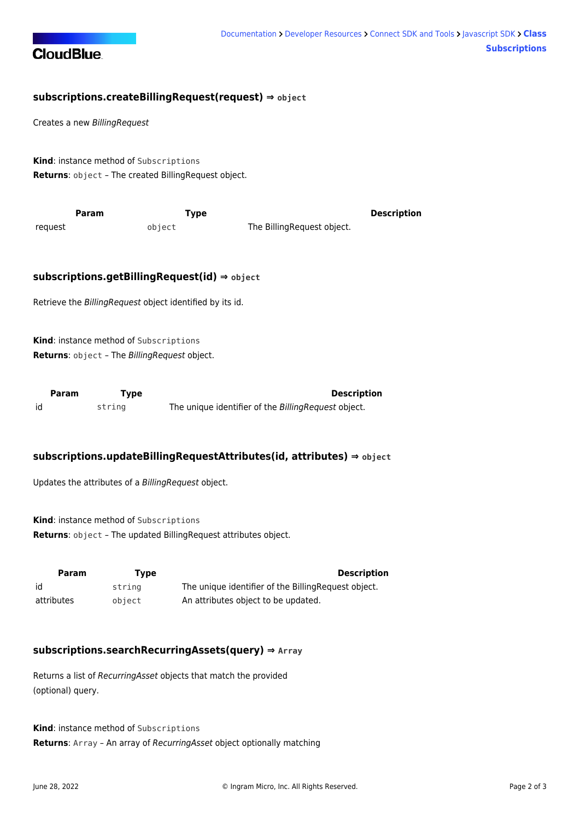

#### **subscriptions.createBillingRequest(request) ⇒ object**

Creates a new BillingRequest

**Kind**: instance method of [Subscriptions](#page-1-0) **Returns**: object – The created BillingRequest object.

<span id="page-2-0"></span>

|         | Param | Tvpe   |                            | <b>Description</b> |
|---------|-------|--------|----------------------------|--------------------|
| reguest |       | object | The BillingRequest object. |                    |

#### **subscriptions.getBillingRequest(id) ⇒ object**

Retrieve the BillingRequest object identified by its id.

**Kind**: instance method of [Subscriptions](#page-1-0) **Returns**: object – The BillingRequest object.

<span id="page-2-1"></span>

| Param | <b>Type</b> | <b>Description</b>                                  |
|-------|-------------|-----------------------------------------------------|
| id    | string      | The unique identifier of the BillingRequest object. |

#### **subscriptions.updateBillingRequestAttributes(id, attributes) ⇒ object**

Updates the attributes of a BillingRequest object.

**Kind**: instance method of [Subscriptions](#page-1-0) **Returns**: object – The updated BillingRequest attributes object.

| Param      | Tvpe   | <b>Description</b>                                   |
|------------|--------|------------------------------------------------------|
| id         | string | The unique identifier of the Billing Request object. |
| attributes | object | An attributes object to be updated.                  |

#### <span id="page-2-2"></span>**subscriptions.searchRecurringAssets(query) ⇒ Array**

Returns a list of RecurringAsset objects that match the provided (optional) query.

**Kind**: instance method of [Subscriptions](#page-1-0) **Returns**: Array – An array of RecurringAsset object optionally matching